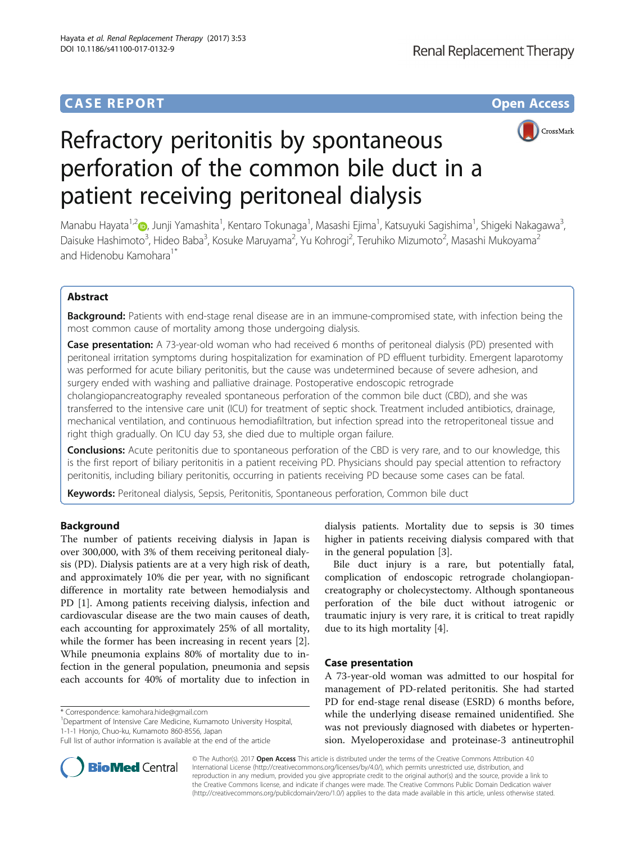# **CASE REPORT CASE REPORT CASE REPORT**



# Refractory peritonitis by spontaneous perforation of the common bile duct in a patient receiving peritoneal dialysis

Manabu Hayata<sup>1,[2](http://orcid.org/0000-0002-6123-5693)</sup>©, Junji Yamashita<sup>1</sup>, Kentaro Tokunaga<sup>1</sup>, Masashi Ejima<sup>1</sup>, Katsuyuki Sagishima<sup>1</sup>, Shigeki Nakagawa<sup>3</sup> , Daisuke Hashimoto<sup>3</sup>, Hideo Baba<sup>3</sup>, Kosuke Maruyama<sup>2</sup>, Yu Kohrogi<sup>2</sup>, Teruhiko Mizumoto<sup>2</sup>, Masashi Mukoyama<sup>2</sup> and Hidenobu Kamohara<sup>1\*</sup>

# Abstract

**Background:** Patients with end-stage renal disease are in an immune-compromised state, with infection being the most common cause of mortality among those undergoing dialysis.

Case presentation: A 73-year-old woman who had received 6 months of peritoneal dialysis (PD) presented with peritoneal irritation symptoms during hospitalization for examination of PD effluent turbidity. Emergent laparotomy was performed for acute biliary peritonitis, but the cause was undetermined because of severe adhesion, and surgery ended with washing and palliative drainage. Postoperative endoscopic retrograde

cholangiopancreatography revealed spontaneous perforation of the common bile duct (CBD), and she was transferred to the intensive care unit (ICU) for treatment of septic shock. Treatment included antibiotics, drainage, mechanical ventilation, and continuous hemodiafiltration, but infection spread into the retroperitoneal tissue and right thigh gradually. On ICU day 53, she died due to multiple organ failure.

**Conclusions:** Acute peritonitis due to spontaneous perforation of the CBD is very rare, and to our knowledge, this is the first report of biliary peritonitis in a patient receiving PD. Physicians should pay special attention to refractory peritonitis, including biliary peritonitis, occurring in patients receiving PD because some cases can be fatal.

Keywords: Peritoneal dialysis, Sepsis, Peritonitis, Spontaneous perforation, Common bile duct

## Background

The number of patients receiving dialysis in Japan is over 300,000, with 3% of them receiving peritoneal dialysis (PD). Dialysis patients are at a very high risk of death, and approximately 10% die per year, with no significant difference in mortality rate between hemodialysis and PD [\[1](#page-4-0)]. Among patients receiving dialysis, infection and cardiovascular disease are the two main causes of death, each accounting for approximately 25% of all mortality, while the former has been increasing in recent years [\[2](#page-5-0)]. While pneumonia explains 80% of mortality due to infection in the general population, pneumonia and sepsis each accounts for 40% of mortality due to infection in

<sup>1</sup>Department of Intensive Care Medicine, Kumamoto University Hospital, 1-1-1 Honjo, Chuo-ku, Kumamoto 860-8556, Japan



Bile duct injury is a rare, but potentially fatal, complication of endoscopic retrograde cholangiopancreatography or cholecystectomy. Although spontaneous perforation of the bile duct without iatrogenic or traumatic injury is very rare, it is critical to treat rapidly due to its high mortality [[4](#page-5-0)].

### Case presentation

A 73-year-old woman was admitted to our hospital for management of PD-related peritonitis. She had started PD for end-stage renal disease (ESRD) 6 months before, while the underlying disease remained unidentified. She was not previously diagnosed with diabetes or hypertension. Myeloperoxidase and proteinase-3 antineutrophil



© The Author(s). 2017 Open Access This article is distributed under the terms of the Creative Commons Attribution 4.0 International License [\(http://creativecommons.org/licenses/by/4.0/](http://creativecommons.org/licenses/by/4.0/)), which permits unrestricted use, distribution, and reproduction in any medium, provided you give appropriate credit to the original author(s) and the source, provide a link to the Creative Commons license, and indicate if changes were made. The Creative Commons Public Domain Dedication waiver [\(http://creativecommons.org/publicdomain/zero/1.0/](http://creativecommons.org/publicdomain/zero/1.0/)) applies to the data made available in this article, unless otherwise stated.

<sup>\*</sup> Correspondence: [kamohara.hide@gmail.com](mailto:kamohara.hide@gmail.com) <sup>1</sup>

Full list of author information is available at the end of the article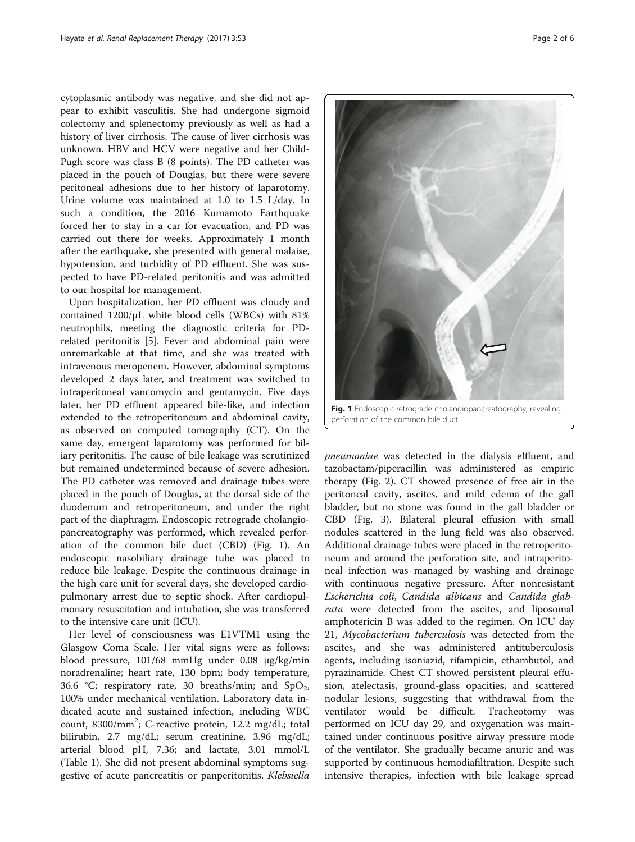cytoplasmic antibody was negative, and she did not appear to exhibit vasculitis. She had undergone sigmoid colectomy and splenectomy previously as well as had a history of liver cirrhosis. The cause of liver cirrhosis was unknown. HBV and HCV were negative and her Child-Pugh score was class B (8 points). The PD catheter was placed in the pouch of Douglas, but there were severe peritoneal adhesions due to her history of laparotomy. Urine volume was maintained at 1.0 to 1.5 L/day. In such a condition, the 2016 Kumamoto Earthquake forced her to stay in a car for evacuation, and PD was carried out there for weeks. Approximately 1 month after the earthquake, she presented with general malaise, hypotension, and turbidity of PD effluent. She was suspected to have PD-related peritonitis and was admitted to our hospital for management.

Upon hospitalization, her PD effluent was cloudy and contained 1200/μL white blood cells (WBCs) with 81% neutrophils, meeting the diagnostic criteria for PDrelated peritonitis [[5\]](#page-5-0). Fever and abdominal pain were unremarkable at that time, and she was treated with intravenous meropenem. However, abdominal symptoms developed 2 days later, and treatment was switched to intraperitoneal vancomycin and gentamycin. Five days later, her PD effluent appeared bile-like, and infection extended to the retroperitoneum and abdominal cavity, as observed on computed tomography (CT). On the same day, emergent laparotomy was performed for biliary peritonitis. The cause of bile leakage was scrutinized but remained undetermined because of severe adhesion. The PD catheter was removed and drainage tubes were placed in the pouch of Douglas, at the dorsal side of the duodenum and retroperitoneum, and under the right part of the diaphragm. Endoscopic retrograde cholangiopancreatography was performed, which revealed perforation of the common bile duct (CBD) (Fig. 1). An endoscopic nasobiliary drainage tube was placed to reduce bile leakage. Despite the continuous drainage in the high care unit for several days, she developed cardiopulmonary arrest due to septic shock. After cardiopulmonary resuscitation and intubation, she was transferred to the intensive care unit (ICU).

Her level of consciousness was E1VTM1 using the Glasgow Coma Scale. Her vital signs were as follows: blood pressure, 101/68 mmHg under 0.08 μg/kg/min noradrenaline; heart rate, 130 bpm; body temperature, 36.6 °C; respiratory rate, 30 breaths/min; and  $SpO<sub>2</sub>$ , 100% under mechanical ventilation. Laboratory data indicated acute and sustained infection, including WBC count, 8300/mm<sup>2</sup>; C-reactive protein, 12.2 mg/dL; total bilirubin, 2.7 mg/dL; serum creatinine, 3.96 mg/dL; arterial blood pH, 7.36; and lactate, 3.01 mmol/L (Table [1](#page-2-0)). She did not present abdominal symptoms suggestive of acute pancreatitis or panperitonitis. Klebsiella



perforation of the common bile duct

pneumoniae was detected in the dialysis effluent, and tazobactam/piperacillin was administered as empiric therapy (Fig. [2](#page-3-0)). CT showed presence of free air in the peritoneal cavity, ascites, and mild edema of the gall bladder, but no stone was found in the gall bladder or CBD (Fig. [3](#page-3-0)). Bilateral pleural effusion with small nodules scattered in the lung field was also observed. Additional drainage tubes were placed in the retroperitoneum and around the perforation site, and intraperitoneal infection was managed by washing and drainage with continuous negative pressure. After nonresistant Escherichia coli, Candida albicans and Candida glabrata were detected from the ascites, and liposomal amphotericin B was added to the regimen. On ICU day 21, Mycobacterium tuberculosis was detected from the ascites, and she was administered antituberculosis agents, including isoniazid, rifampicin, ethambutol, and pyrazinamide. Chest CT showed persistent pleural effusion, atelectasis, ground-glass opacities, and scattered nodular lesions, suggesting that withdrawal from the ventilator would be difficult. Tracheotomy was performed on ICU day 29, and oxygenation was maintained under continuous positive airway pressure mode of the ventilator. She gradually became anuric and was supported by continuous hemodiafiltration. Despite such intensive therapies, infection with bile leakage spread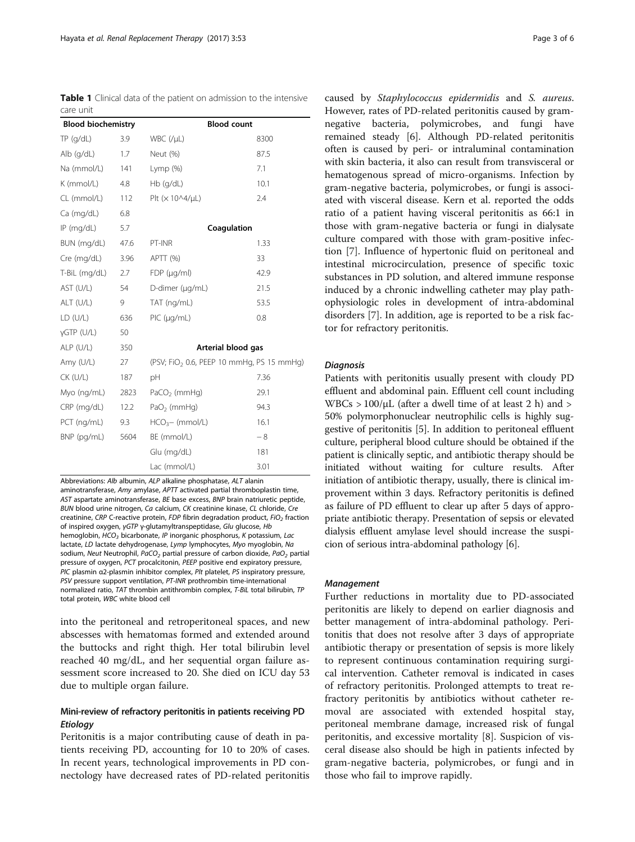<span id="page-2-0"></span>

|           |  |  |  | Table 1 Clinical data of the patient on admission to the intensive |  |  |
|-----------|--|--|--|--------------------------------------------------------------------|--|--|
| care unit |  |  |  |                                                                    |  |  |

| <b>Blood biochemistry</b> |      | <b>Blood count</b>                                    |      |  |  |  |
|---------------------------|------|-------------------------------------------------------|------|--|--|--|
| $TP$ (g/dL)               | 3.9  | WBC $(\mu L)$                                         | 8300 |  |  |  |
| $Alb$ (q/dL)              | 1.7  | Neut (%)                                              | 87.5 |  |  |  |
| Na (mmol/L)               | 141  | Lymp $(%)$                                            | 7.1  |  |  |  |
| K (mmol/L)                | 4.8  | $Hb$ (q/dL)                                           | 10.1 |  |  |  |
| CL (mmol/L)               | 112  | Plt $(x 10^4/ \mu L)$                                 | 2.4  |  |  |  |
| Ca (mg/dL)                | 6.8  |                                                       |      |  |  |  |
| $IP$ (mg/dL)              | 5.7  | Coagulation                                           |      |  |  |  |
| BUN (mg/dL)               | 47.6 | PT-INR                                                | 1.33 |  |  |  |
| Cre (mg/dL)               | 3.96 | APTT (%)                                              | 33   |  |  |  |
| T-BiL (mg/dL)             | 2.7  | $FDP$ ( $\mu$ g/ml)                                   | 42.9 |  |  |  |
| AST (U/L)                 | 54   | D-dimer (µg/mL)                                       | 21.5 |  |  |  |
| ALT (U/L)                 | 9    | TAT (ng/mL)                                           | 53.5 |  |  |  |
| LD (U/L)                  | 636  | $PIC$ ( $\mu q/mL$ )                                  | 0.8  |  |  |  |
| $\gamma$ GTP (U/L)        | 50   |                                                       |      |  |  |  |
| ALP (U/L)<br>350          |      | Arterial blood gas                                    |      |  |  |  |
| Amy (U/L)                 | 27   | (PSV; FiO <sub>2</sub> 0.6, PEEP 10 mmHg, PS 15 mmHg) |      |  |  |  |
| <b>CK (U/L)</b>           | 187  | pH                                                    | 7.36 |  |  |  |
| Myo (ng/mL)               | 2823 | $PaCO2$ (mmHg)                                        | 29.1 |  |  |  |
| CRP (mg/dL)               | 12.2 | $PaO2$ (mmHq)                                         | 94.3 |  |  |  |
| $PCT$ (ng/mL)             | 9.3  | $HCO_{3}$ - (mmol/L)                                  | 16.1 |  |  |  |
| BNP (pg/mL)               | 5604 | BE (mmol/L)                                           | $-8$ |  |  |  |
|                           |      | Glu (mg/dL)                                           | 181  |  |  |  |
|                           |      | Lac (mmol/L)                                          | 3.01 |  |  |  |

Abbreviations: Alb albumin, ALP alkaline phosphatase, ALT alanin

aminotransferase, Amy amylase, APTT activated partial thromboplastin time, AST aspartate aminotransferase, BE base excess, BNP brain natriuretic peptide, BUN blood urine nitrogen, Ca calcium, CK creatinine kinase, CL chloride, Cre creatinine, CRP C-reactive protein, FDP fibrin degradation product,  $FiO<sub>2</sub>$  fraction of inspired oxygen, γGTP γ-glutamyltranspeptidase, Glu glucose, Hb hemoglobin,  $HCO<sub>3</sub>$  bicarbonate, IP inorganic phosphorus, K potassium, Lac lactate, LD lactate dehydrogenase, Lymp lymphocytes, Myo myoglobin, Na sodium, Neut Neutrophil, PaCO<sub>2</sub> partial pressure of carbon dioxide, PaO<sub>2</sub> partial pressure of oxygen, PCT procalcitonin, PEEP positive end expiratory pressure,  $P$ IC plasmin α2-plasmin inhibitor complex, Plt platelet, PS inspiratory pressure, PSV pressure support ventilation, PT-INR prothrombin time-international normalized ratio, TAT thrombin antithrombin complex, T-BiL total bilirubin, TP total protein, WBC white blood cell

into the peritoneal and retroperitoneal spaces, and new abscesses with hematomas formed and extended around the buttocks and right thigh. Her total bilirubin level reached 40 mg/dL, and her sequential organ failure assessment score increased to 20. She died on ICU day 53 due to multiple organ failure.

# Mini-review of refractory peritonitis in patients receiving PD

Peritonitis is a major contributing cause of death in patients receiving PD, accounting for 10 to 20% of cases. In recent years, technological improvements in PD connectology have decreased rates of PD-related peritonitis caused by Staphylococcus epidermidis and S. aureus. However, rates of PD-related peritonitis caused by gramnegative bacteria, polymicrobes, and fungi have remained steady [[6](#page-5-0)]. Although PD-related peritonitis often is caused by peri- or intraluminal contamination with skin bacteria, it also can result from transvisceral or hematogenous spread of micro-organisms. Infection by gram-negative bacteria, polymicrobes, or fungi is associated with visceral disease. Kern et al. reported the odds ratio of a patient having visceral peritonitis as 66:1 in those with gram-negative bacteria or fungi in dialysate culture compared with those with gram-positive infection [[7\]](#page-5-0). Influence of hypertonic fluid on peritoneal and intestinal microcirculation, presence of specific toxic substances in PD solution, and altered immune response induced by a chronic indwelling catheter may play pathophysiologic roles in development of intra-abdominal disorders [\[7](#page-5-0)]. In addition, age is reported to be a risk factor for refractory peritonitis.

Patients with peritonitis usually present with cloudy PD effluent and abdominal pain. Effluent cell count including WBCs  $> 100/\mu L$  (after a dwell time of at least 2 h) and  $>$ 50% polymorphonuclear neutrophilic cells is highly suggestive of peritonitis [[5\]](#page-5-0). In addition to peritoneal effluent culture, peripheral blood culture should be obtained if the patient is clinically septic, and antibiotic therapy should be initiated without waiting for culture results. After initiation of antibiotic therapy, usually, there is clinical improvement within 3 days. Refractory peritonitis is defined as failure of PD effluent to clear up after 5 days of appropriate antibiotic therapy. Presentation of sepsis or elevated dialysis effluent amylase level should increase the suspicion of serious intra-abdominal pathology [[6](#page-5-0)].

Further reductions in mortality due to PD-associated peritonitis are likely to depend on earlier diagnosis and better management of intra-abdominal pathology. Peritonitis that does not resolve after 3 days of appropriate antibiotic therapy or presentation of sepsis is more likely to represent continuous contamination requiring surgical intervention. Catheter removal is indicated in cases of refractory peritonitis. Prolonged attempts to treat refractory peritonitis by antibiotics without catheter removal are associated with extended hospital stay, peritoneal membrane damage, increased risk of fungal peritonitis, and excessive mortality [\[8](#page-5-0)]. Suspicion of visceral disease also should be high in patients infected by gram-negative bacteria, polymicrobes, or fungi and in those who fail to improve rapidly.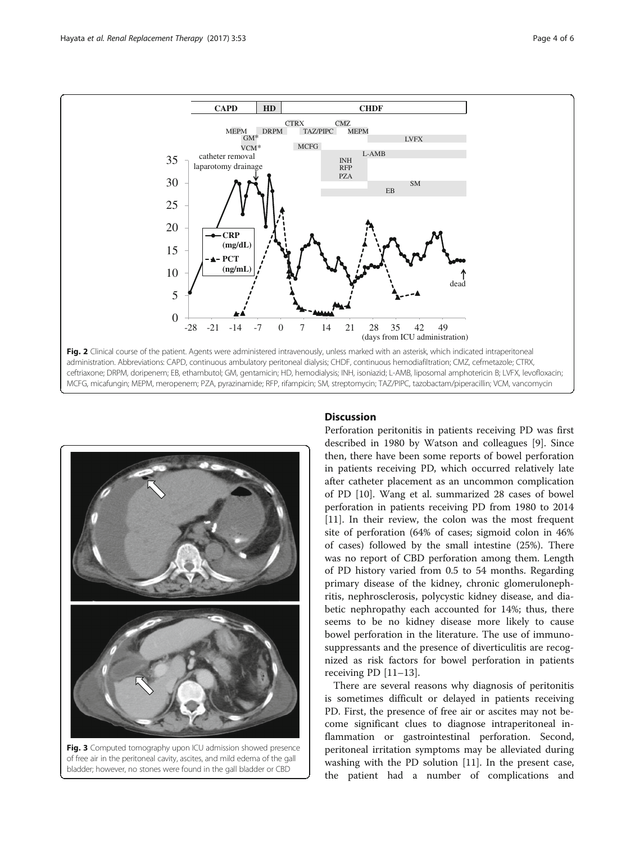<span id="page-3-0"></span>



of free air in the peritoneal cavity, ascites, and mild edema of the gall bladder; however, no stones were found in the gall bladder or CBD

# Discussion

Perforation peritonitis in patients receiving PD was first described in 1980 by Watson and colleagues [\[9](#page-5-0)]. Since then, there have been some reports of bowel perforation in patients receiving PD, which occurred relatively late after catheter placement as an uncommon complication of PD [[10\]](#page-5-0). Wang et al. summarized 28 cases of bowel perforation in patients receiving PD from 1980 to 2014 [[11\]](#page-5-0). In their review, the colon was the most frequent site of perforation (64% of cases; sigmoid colon in 46% of cases) followed by the small intestine (25%). There was no report of CBD perforation among them. Length of PD history varied from 0.5 to 54 months. Regarding primary disease of the kidney, chronic glomerulonephritis, nephrosclerosis, polycystic kidney disease, and diabetic nephropathy each accounted for 14%; thus, there seems to be no kidney disease more likely to cause bowel perforation in the literature. The use of immunosuppressants and the presence of diverticulitis are recognized as risk factors for bowel perforation in patients receiving PD [\[11](#page-5-0)–[13\]](#page-5-0).

There are several reasons why diagnosis of peritonitis is sometimes difficult or delayed in patients receiving PD. First, the presence of free air or ascites may not become significant clues to diagnose intraperitoneal inflammation or gastrointestinal perforation. Second, peritoneal irritation symptoms may be alleviated during washing with the PD solution [[11\]](#page-5-0). In the present case, the patient had a number of complications and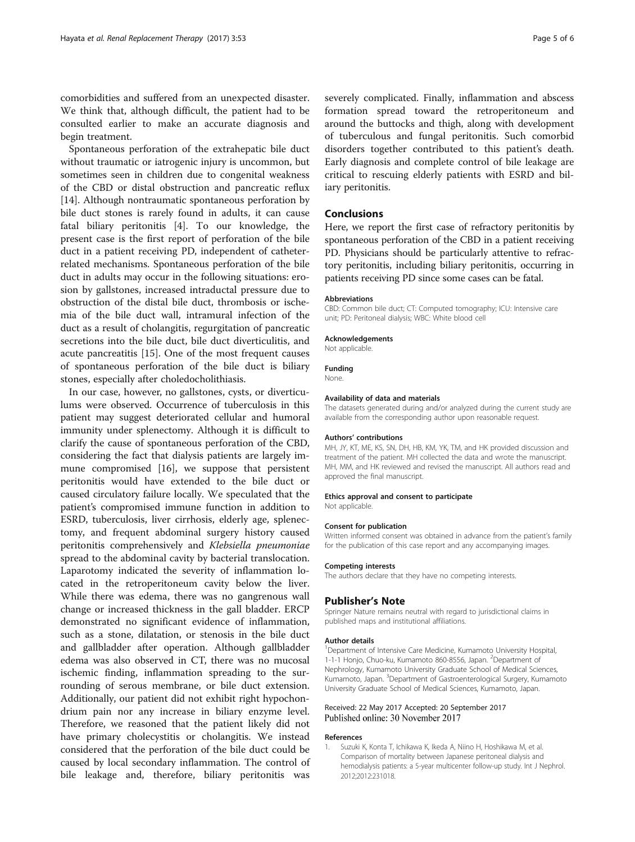<span id="page-4-0"></span>Spontaneous perforation of the extrahepatic bile duct without traumatic or iatrogenic injury is uncommon, but sometimes seen in children due to congenital weakness of the CBD or distal obstruction and pancreatic reflux [[14\]](#page-5-0). Although nontraumatic spontaneous perforation by bile duct stones is rarely found in adults, it can cause fatal biliary peritonitis [\[4](#page-5-0)]. To our knowledge, the present case is the first report of perforation of the bile duct in a patient receiving PD, independent of catheterrelated mechanisms. Spontaneous perforation of the bile duct in adults may occur in the following situations: erosion by gallstones, increased intraductal pressure due to obstruction of the distal bile duct, thrombosis or ischemia of the bile duct wall, intramural infection of the duct as a result of cholangitis, regurgitation of pancreatic secretions into the bile duct, bile duct diverticulitis, and acute pancreatitis [[15](#page-5-0)]. One of the most frequent causes of spontaneous perforation of the bile duct is biliary stones, especially after choledocholithiasis.

In our case, however, no gallstones, cysts, or diverticulums were observed. Occurrence of tuberculosis in this patient may suggest deteriorated cellular and humoral immunity under splenectomy. Although it is difficult to clarify the cause of spontaneous perforation of the CBD, considering the fact that dialysis patients are largely immune compromised [\[16](#page-5-0)], we suppose that persistent peritonitis would have extended to the bile duct or caused circulatory failure locally. We speculated that the patient's compromised immune function in addition to ESRD, tuberculosis, liver cirrhosis, elderly age, splenectomy, and frequent abdominal surgery history caused peritonitis comprehensively and Klebsiella pneumoniae spread to the abdominal cavity by bacterial translocation. Laparotomy indicated the severity of inflammation located in the retroperitoneum cavity below the liver. While there was edema, there was no gangrenous wall change or increased thickness in the gall bladder. ERCP demonstrated no significant evidence of inflammation, such as a stone, dilatation, or stenosis in the bile duct and gallbladder after operation. Although gallbladder edema was also observed in CT, there was no mucosal ischemic finding, inflammation spreading to the surrounding of serous membrane, or bile duct extension. Additionally, our patient did not exhibit right hypochondrium pain nor any increase in biliary enzyme level. Therefore, we reasoned that the patient likely did not have primary cholecystitis or cholangitis. We instead considered that the perforation of the bile duct could be caused by local secondary inflammation. The control of bile leakage and, therefore, biliary peritonitis was severely complicated. Finally, inflammation and abscess formation spread toward the retroperitoneum and around the buttocks and thigh, along with development of tuberculous and fungal peritonitis. Such comorbid disorders together contributed to this patient's death. Early diagnosis and complete control of bile leakage are critical to rescuing elderly patients with ESRD and biliary peritonitis.

## Conclusions

Here, we report the first case of refractory peritonitis by spontaneous perforation of the CBD in a patient receiving PD. Physicians should be particularly attentive to refractory peritonitis, including biliary peritonitis, occurring in patients receiving PD since some cases can be fatal.

#### Abbreviations

CBD: Common bile duct; CT: Computed tomography; ICU: Intensive care unit; PD: Peritoneal dialysis; WBC: White blood cell

#### Acknowledgements

Not applicable.

Funding

None.

#### Availability of data and materials

The datasets generated during and/or analyzed during the current study are available from the corresponding author upon reasonable request.

#### Authors' contributions

MH, JY, KT, ME, KS, SN, DH, HB, KM, YK, TM, and HK provided discussion and treatment of the patient. MH collected the data and wrote the manuscript. MH, MM, and HK reviewed and revised the manuscript. All authors read and approved the final manuscript.

#### Ethics approval and consent to participate

Not applicable.

#### Consent for publication

Written informed consent was obtained in advance from the patient's family for the publication of this case report and any accompanying images.

#### Competing interests

The authors declare that they have no competing interests.

#### Publisher's Note

Springer Nature remains neutral with regard to jurisdictional claims in published maps and institutional affiliations.

#### Author details

<sup>1</sup>Department of Intensive Care Medicine, Kumamoto University Hospital 1-1-1 Honjo, Chuo-ku, Kumamoto 860-8556, Japan. <sup>2</sup>Department of Nephrology, Kumamoto University Graduate School of Medical Sciences, Kumamoto, Japan. <sup>3</sup>Department of Gastroenterological Surgery, Kumamoto University Graduate School of Medical Sciences, Kumamoto, Japan.

### Received: 22 May 2017 Accepted: 20 September 2017 Published online: 30 November 2017

#### References

1. Suzuki K, Konta T, Ichikawa K, Ikeda A, Niino H, Hoshikawa M, et al. Comparison of mortality between Japanese peritoneal dialysis and hemodialysis patients: a 5-year multicenter follow-up study. Int J Nephrol. 2012;2012:231018.